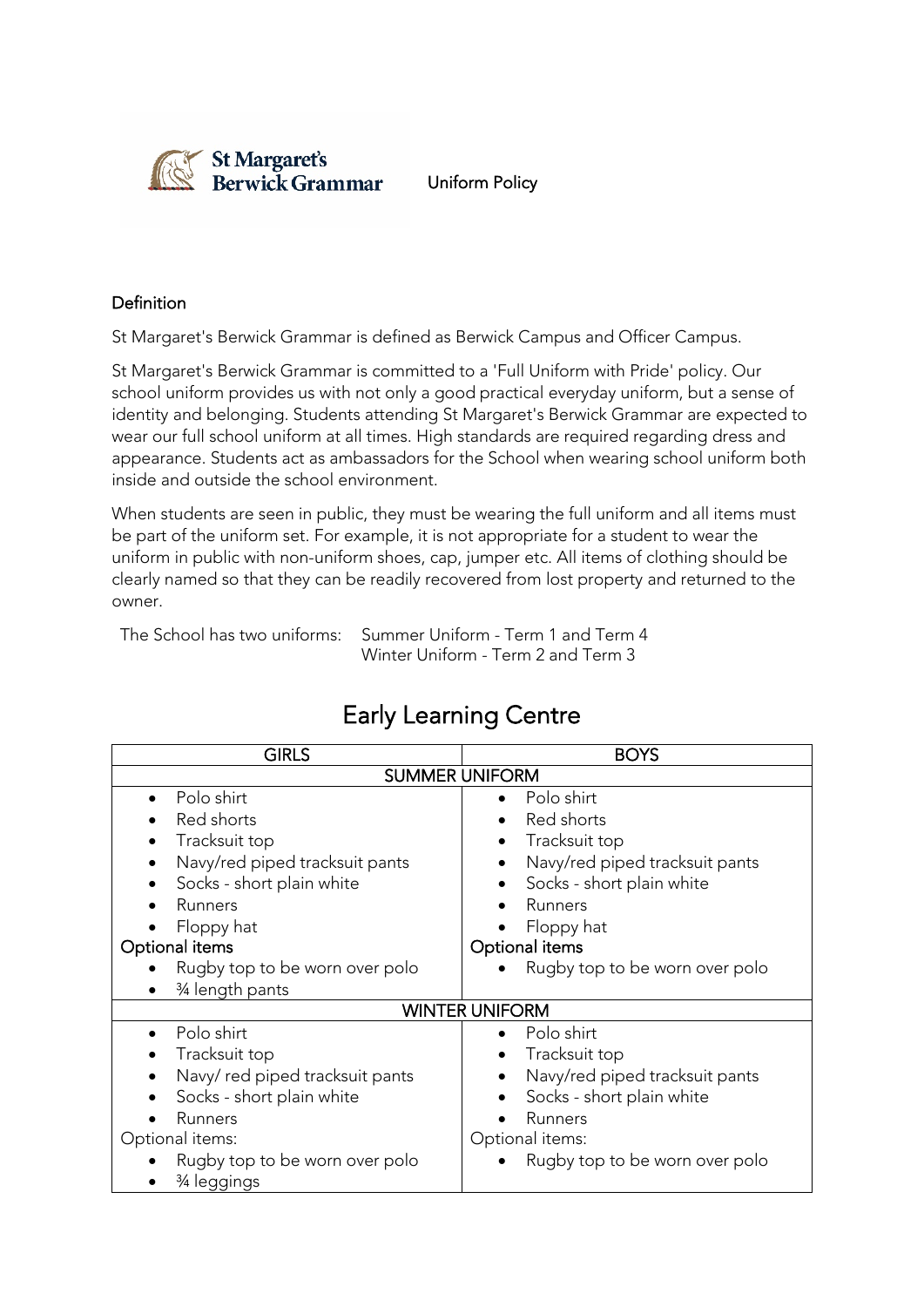

Uniform Policy

#### Definition

St Margaret's Berwick Grammar is defined as Berwick Campus and Officer Campus.

St Margaret's Berwick Grammar is committed to a 'Full Uniform with Pride' policy. Our school uniform provides us with not only a good practical everyday uniform, but a sense of identity and belonging. Students attending St Margaret's Berwick Grammar are expected to wear our full school uniform at all times. High standards are required regarding dress and appearance. Students act as ambassadors for the School when wearing school uniform both inside and outside the school environment.

When students are seen in public, they must be wearing the full uniform and all items must be part of the uniform set. For example, it is not appropriate for a student to wear the uniform in public with non-uniform shoes, cap, jumper etc. All items of clothing should be clearly named so that they can be readily recovered from lost property and returned to the owner.

The School has two uniforms: Summer Uniform - Term 1 and Term 4 Winter Uniform - Term 2 and Term 3

| <b>GIRLS</b>                   | <b>BOYS</b>                    |  |
|--------------------------------|--------------------------------|--|
| <b>SUMMER UNIFORM</b>          |                                |  |
| Polo shirt                     | Polo shirt                     |  |
| Red shorts                     | Red shorts                     |  |
| Tracksuit top                  | Tracksuit top                  |  |
| Navy/red piped tracksuit pants | Navy/red piped tracksuit pants |  |
| Socks - short plain white      | Socks - short plain white      |  |
| Runners                        | Runners                        |  |
| Floppy hat                     | Floppy hat                     |  |
| Optional items                 | Optional items                 |  |
| Rugby top to be worn over polo | Rugby top to be worn over polo |  |
| 3⁄4 length pants               |                                |  |
|                                | <b>WINTER UNIFORM</b>          |  |
| Polo shirt                     | Polo shirt                     |  |
| Tracksuit top                  | Tracksuit top                  |  |
| Navy/red piped tracksuit pants | Navy/red piped tracksuit pants |  |
| Socks - short plain white      | Socks - short plain white      |  |
| Runners                        | Runners                        |  |
| Optional items:                | Optional items:                |  |
| Rugby top to be worn over polo | Rugby top to be worn over polo |  |
| ¾ leggings                     |                                |  |

## Early Learning Centre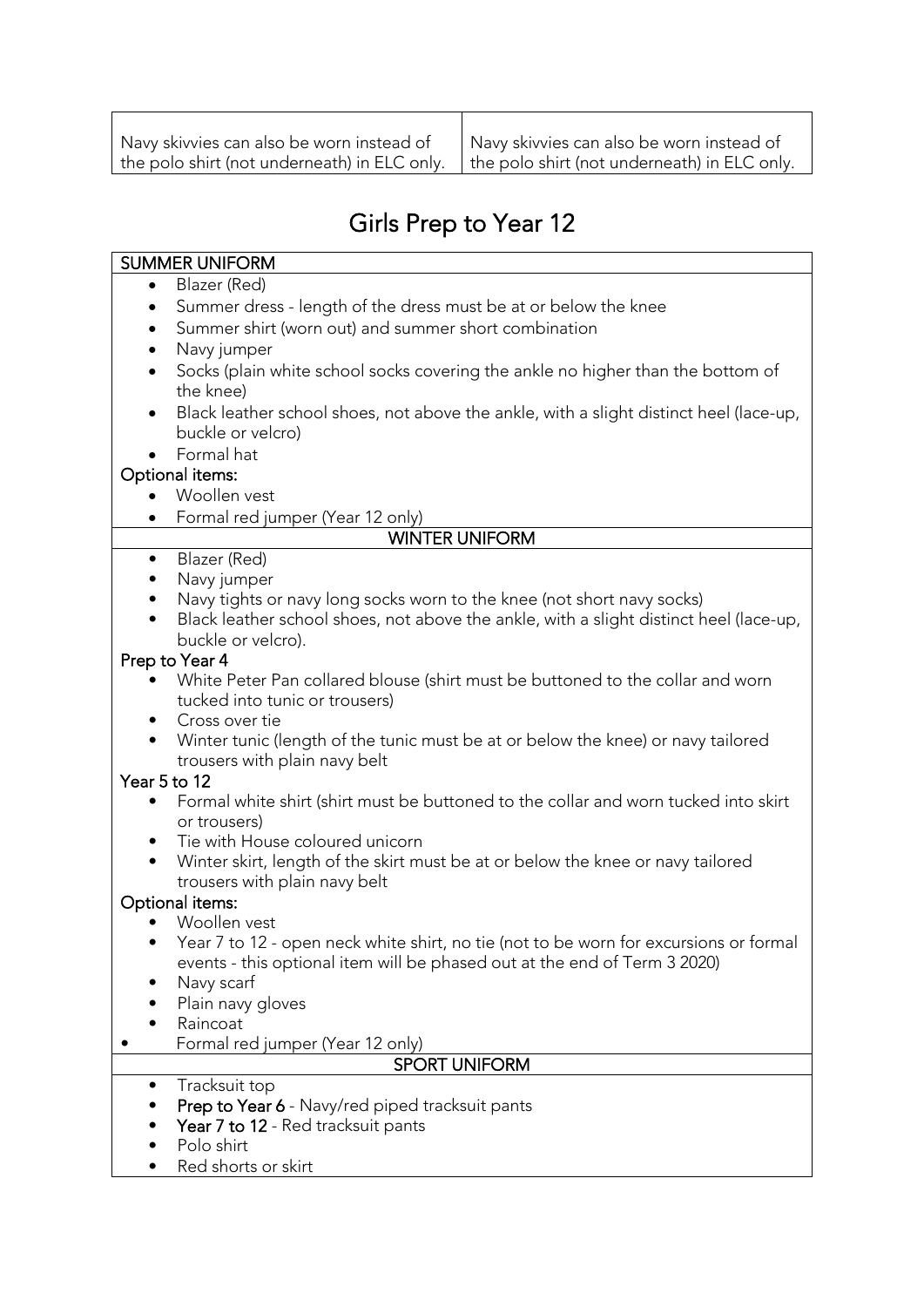# Girls Prep to Year 12

#### SUMMER UNIFORM

- Blazer (Red)
- Summer dress length of the dress must be at or below the knee
- Summer shirt (worn out) and summer short combination
- Navy jumper
- Socks (plain white school socks covering the ankle no higher than the bottom of the knee)
- Black leather school shoes, not above the ankle, with a slight distinct heel (lace-up, buckle or velcro)
- Formal hat

### Optional items:

- Woollen vest
- Formal red jumper (Year 12 only)

### WINTER UNIFORM

- Blazer (Red)
- Navy jumper
- Navy tights or navy long socks worn to the knee (not short navy socks)
- Black leather school shoes, not above the ankle, with a slight distinct heel (lace-up, buckle or velcro).

#### Prep to Year 4

- White Peter Pan collared blouse (shirt must be buttoned to the collar and worn tucked into tunic or trousers)
- Cross over tie
- Winter tunic (length of the tunic must be at or below the knee) or navy tailored trousers with plain navy belt

### Year 5 to 12

- Formal white shirt (shirt must be buttoned to the collar and worn tucked into skirt or trousers)
- Tie with House coloured unicorn
- Winter skirt, length of the skirt must be at or below the knee or navy tailored trousers with plain navy belt

### Optional items:

- Woollen vest
- Year 7 to 12 open neck white shirt, no tie (not to be worn for excursions or formal events - this optional item will be phased out at the end of Term 3 2020)
- Navy scarf
- Plain navy gloves
- Raincoat
- Formal red jumper (Year 12 only)

### SPORT UNIFORM

- Tracksuit top
- Prep to Year 6 Navy/red piped tracksuit pants
- Year 7 to 12 Red tracksuit pants
- Polo shirt
- Red shorts or skirt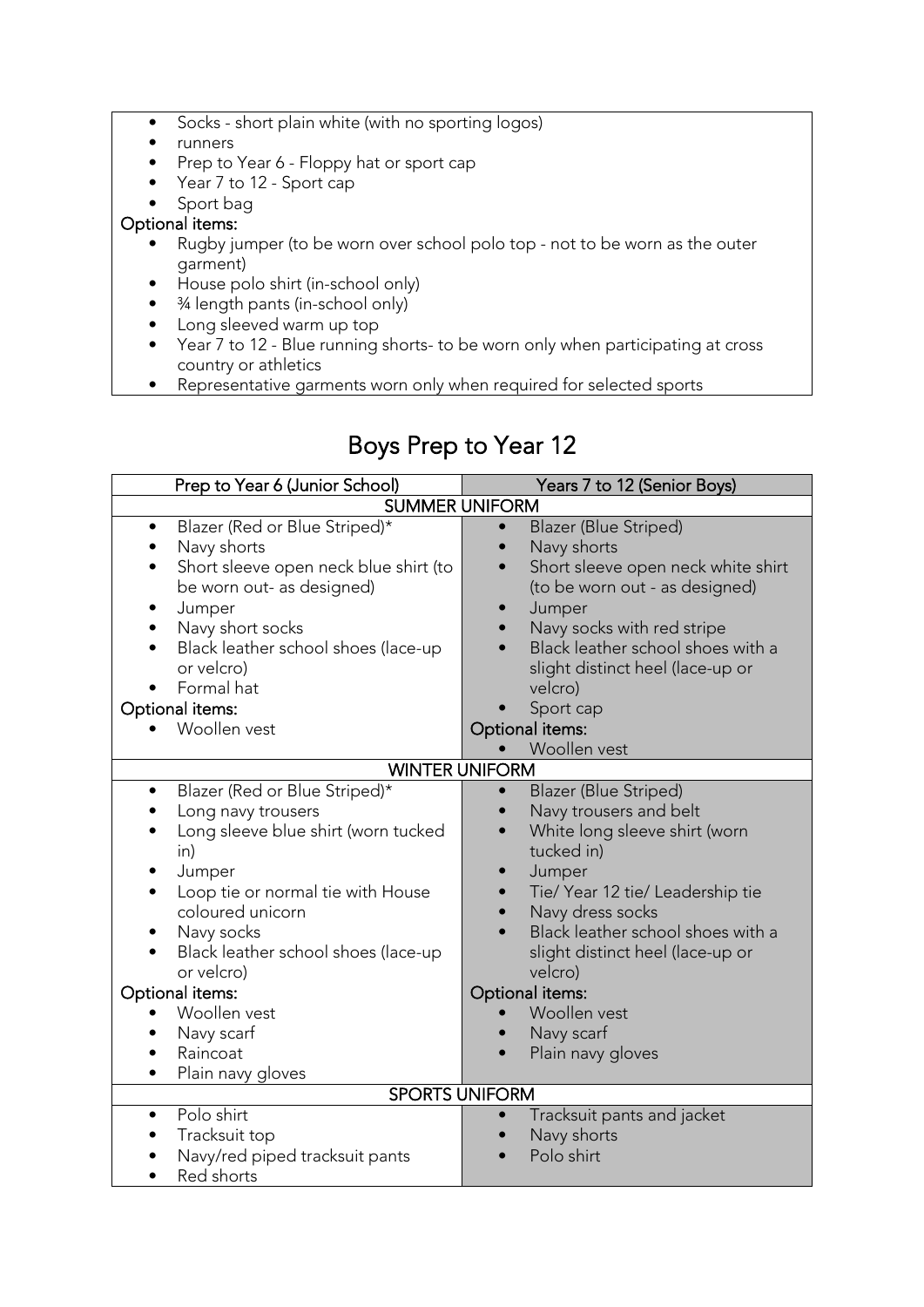- Socks short plain white (with no sporting logos)
- runners
- Prep to Year 6 Floppy hat or sport cap
- Year 7 to 12 Sport cap
- Sport bag

#### Optional items:

- Rugby jumper (to be worn over school polo top not to be worn as the outer garment)
- House polo shirt (in-school only)
- ¾ length pants (in-school only)
- Long sleeved warm up top
- Year 7 to 12 Blue running shorts- to be worn only when participating at cross country or athletics
- Representative garments worn only when required for selected sports

# Boys Prep to Year 12

| Prep to Year 6 (Junior School)                                                                                                                                                                                                                                                                                                         | Years 7 to 12 (Senior Boys)                                                                                                                                                                                                                                                                                                                                              |  |
|----------------------------------------------------------------------------------------------------------------------------------------------------------------------------------------------------------------------------------------------------------------------------------------------------------------------------------------|--------------------------------------------------------------------------------------------------------------------------------------------------------------------------------------------------------------------------------------------------------------------------------------------------------------------------------------------------------------------------|--|
| <b>SUMMER UNIFORM</b>                                                                                                                                                                                                                                                                                                                  |                                                                                                                                                                                                                                                                                                                                                                          |  |
| Blazer (Red or Blue Striped)*<br>$\bullet$<br>Navy shorts<br>Short sleeve open neck blue shirt (to<br>be worn out- as designed)<br>Jumper<br>Navy short socks<br>Black leather school shoes (lace-up<br>or velcro)<br>Formal hat<br>Optional items:<br>Woollen vest                                                                    | Blazer (Blue Striped)<br>$\bullet$<br>Navy shorts<br>Short sleeve open neck white shirt<br>$\bullet$<br>(to be worn out - as designed)<br>Jumper<br>$\bullet$<br>Navy socks with red stripe<br>Black leather school shoes with a<br>slight distinct heel (lace-up or<br>velcro)<br>Sport cap<br>Optional items:                                                          |  |
| <b>WINTER UNIFORM</b>                                                                                                                                                                                                                                                                                                                  | Woollen vest                                                                                                                                                                                                                                                                                                                                                             |  |
| Blazer (Red or Blue Striped)*<br>$\bullet$<br>Long navy trousers<br>Long sleeve blue shirt (worn tucked<br>in)<br>Jumper<br>Loop tie or normal tie with House<br>coloured unicorn<br>Navy socks<br>Black leather school shoes (lace-up<br>or velcro)<br>Optional items:<br>Woollen vest<br>Navy scarf<br>Raincoat<br>Plain navy gloves | <b>Blazer (Blue Striped)</b><br>$\bullet$<br>Navy trousers and belt<br>White long sleeve shirt (worn<br>tucked in)<br>Jumper<br>$\bullet$<br>Tie/ Year 12 tie/ Leadership tie<br>Navy dress socks<br>$\bullet$<br>Black leather school shoes with a<br>slight distinct heel (lace-up or<br>velcro)<br>Optional items:<br>Woollen vest<br>Navy scarf<br>Plain navy gloves |  |
| <b>SPORTS UNIFORM</b>                                                                                                                                                                                                                                                                                                                  |                                                                                                                                                                                                                                                                                                                                                                          |  |
| Polo shirt<br>Tracksuit top<br>Navy/red piped tracksuit pants<br>Red shorts                                                                                                                                                                                                                                                            | Tracksuit pants and jacket<br>$\bullet$<br>Navy shorts<br>Polo shirt                                                                                                                                                                                                                                                                                                     |  |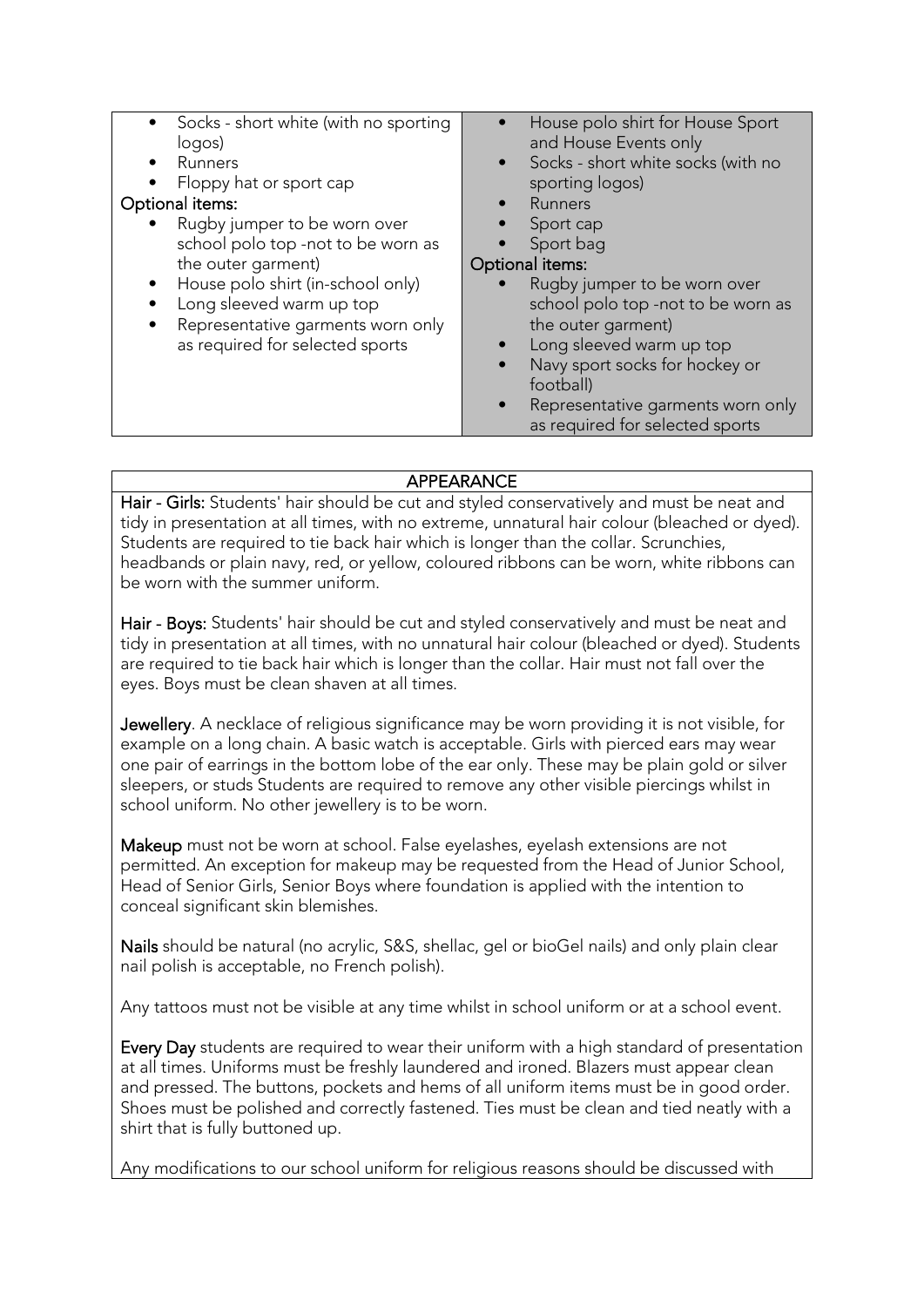| • Socks - short white (with no sporting<br>logos)<br>Runners<br>$\bullet$<br>Floppy hat or sport cap<br>Optional items:<br>Rugby jumper to be worn over<br>school polo top -not to be worn as<br>the outer garment)<br>House polo shirt (in-school only)<br>$\bullet$<br>Long sleeved warm up top<br>$\bullet$<br>Representative garments worn only<br>as required for selected sports | House polo shirt for House Sport<br>and House Events only<br>Socks - short white socks (with no<br>sporting logos)<br>Runners<br>Sport cap<br>Sport bag<br>Optional items:<br>Rugby jumper to be worn over<br>school polo top -not to be worn as<br>the outer garment)<br>Long sleeved warm up top<br>Navy sport socks for hockey or<br>$\bullet$<br>football)<br>Representative garments worn only<br>as required for selected sports |
|----------------------------------------------------------------------------------------------------------------------------------------------------------------------------------------------------------------------------------------------------------------------------------------------------------------------------------------------------------------------------------------|----------------------------------------------------------------------------------------------------------------------------------------------------------------------------------------------------------------------------------------------------------------------------------------------------------------------------------------------------------------------------------------------------------------------------------------|
|                                                                                                                                                                                                                                                                                                                                                                                        |                                                                                                                                                                                                                                                                                                                                                                                                                                        |

#### APPEARANCE

Hair - Girls: Students' hair should be cut and styled conservatively and must be neat and tidy in presentation at all times, with no extreme, unnatural hair colour (bleached or dyed). Students are required to tie back hair which is longer than the collar. Scrunchies, headbands or plain navy, red, or yellow, coloured ribbons can be worn, white ribbons can be worn with the summer uniform.

Hair - Boys: Students' hair should be cut and styled conservatively and must be neat and tidy in presentation at all times, with no unnatural hair colour (bleached or dyed). Students are required to tie back hair which is longer than the collar. Hair must not fall over the eyes. Boys must be clean shaven at all times.

Jewellery. A necklace of religious significance may be worn providing it is not visible, for example on a long chain. A basic watch is acceptable. Girls with pierced ears may wear one pair of earrings in the bottom lobe of the ear only. These may be plain gold or silver sleepers, or studs Students are required to remove any other visible piercings whilst in school uniform. No other jewellery is to be worn.

Makeup must not be worn at school. False eyelashes, eyelash extensions are not permitted. An exception for makeup may be requested from the Head of Junior School, Head of Senior Girls, Senior Boys where foundation is applied with the intention to conceal significant skin blemishes.

Nails should be natural (no acrylic, S&S, shellac, gel or bioGel nails) and only plain clear nail polish is acceptable, no French polish).

Any tattoos must not be visible at any time whilst in school uniform or at a school event.

Every Day students are required to wear their uniform with a high standard of presentation at all times. Uniforms must be freshly laundered and ironed. Blazers must appear clean and pressed. The buttons, pockets and hems of all uniform items must be in good order. Shoes must be polished and correctly fastened. Ties must be clean and tied neatly with a shirt that is fully buttoned up.

Any modifications to our school uniform for religious reasons should be discussed with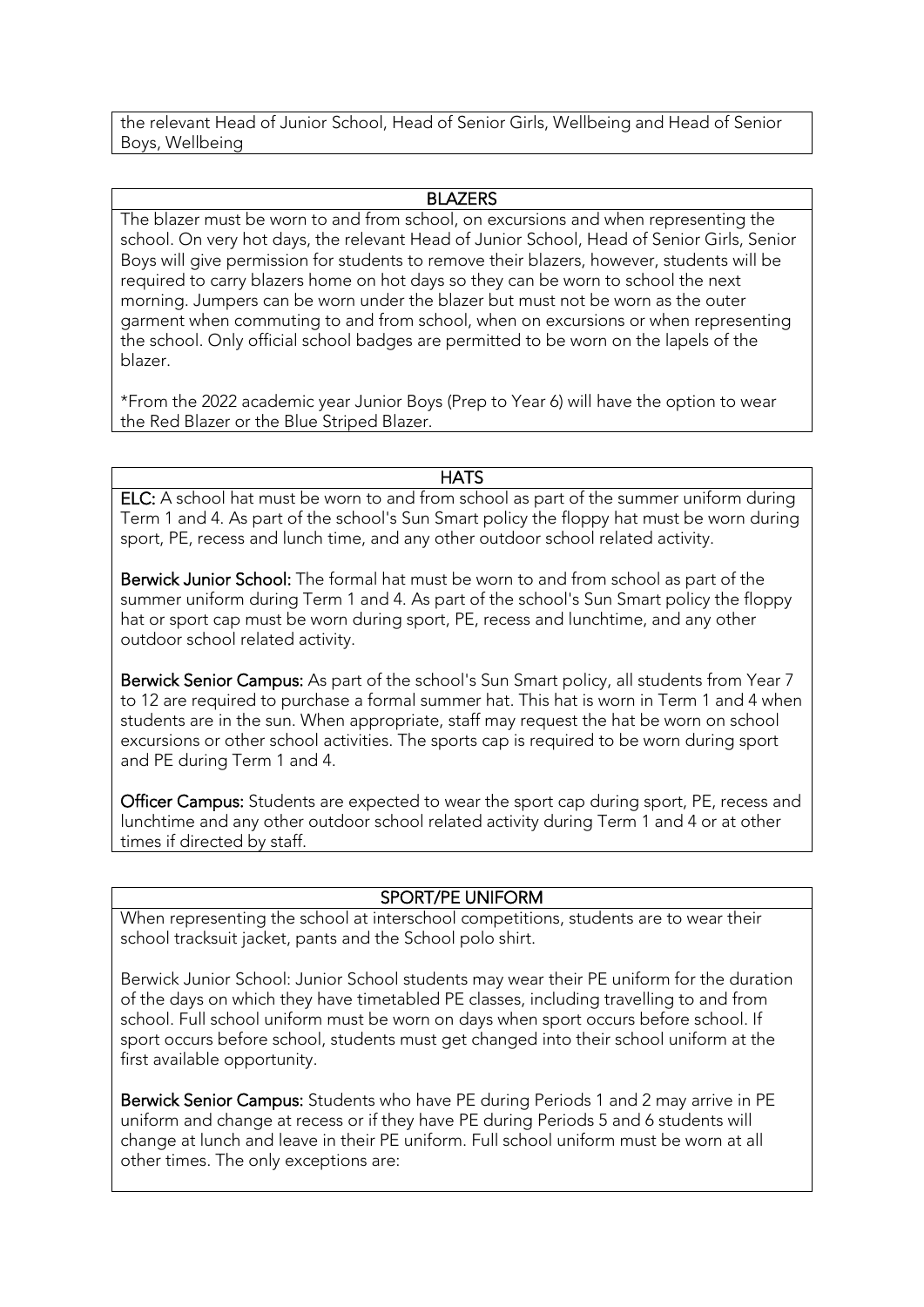the relevant Head of Junior School, Head of Senior Girls, Wellbeing and Head of Senior Boys, Wellbeing

#### **BLAZERS**

The blazer must be worn to and from school, on excursions and when representing the school. On very hot days, the relevant Head of Junior School, Head of Senior Girls, Senior Boys will give permission for students to remove their blazers, however, students will be required to carry blazers home on hot days so they can be worn to school the next morning. Jumpers can be worn under the blazer but must not be worn as the outer garment when commuting to and from school, when on excursions or when representing the school. Only official school badges are permitted to be worn on the lapels of the blazer.

\*From the 2022 academic year Junior Boys (Prep to Year 6) will have the option to wear the Red Blazer or the Blue Striped Blazer.

#### **HATS**

ELC: A school hat must be worn to and from school as part of the summer uniform during Term 1 and 4. As part of the school's Sun Smart policy the floppy hat must be worn during sport, PE, recess and lunch time, and any other outdoor school related activity.

Berwick Junior School: The formal hat must be worn to and from school as part of the summer uniform during Term 1 and 4. As part of the school's Sun Smart policy the floppy hat or sport cap must be worn during sport, PE, recess and lunchtime, and any other outdoor school related activity.

Berwick Senior Campus: As part of the school's Sun Smart policy, all students from Year 7 to 12 are required to purchase a formal summer hat. This hat is worn in Term 1 and 4 when students are in the sun. When appropriate, staff may request the hat be worn on school excursions or other school activities. The sports cap is required to be worn during sport and PE during Term 1 and 4.

Officer Campus: Students are expected to wear the sport cap during sport, PE, recess and lunchtime and any other outdoor school related activity during Term 1 and 4 or at other times if directed by staff.

#### SPORT/PE UNIFORM

When representing the school at interschool competitions, students are to wear their school tracksuit jacket, pants and the School polo shirt.

Berwick Junior School: Junior School students may wear their PE uniform for the duration of the days on which they have timetabled PE classes, including travelling to and from school. Full school uniform must be worn on days when sport occurs before school. If sport occurs before school, students must get changed into their school uniform at the first available opportunity.

Berwick Senior Campus: Students who have PE during Periods 1 and 2 may arrive in PE uniform and change at recess or if they have PE during Periods 5 and 6 students will change at lunch and leave in their PE uniform. Full school uniform must be worn at all other times. The only exceptions are: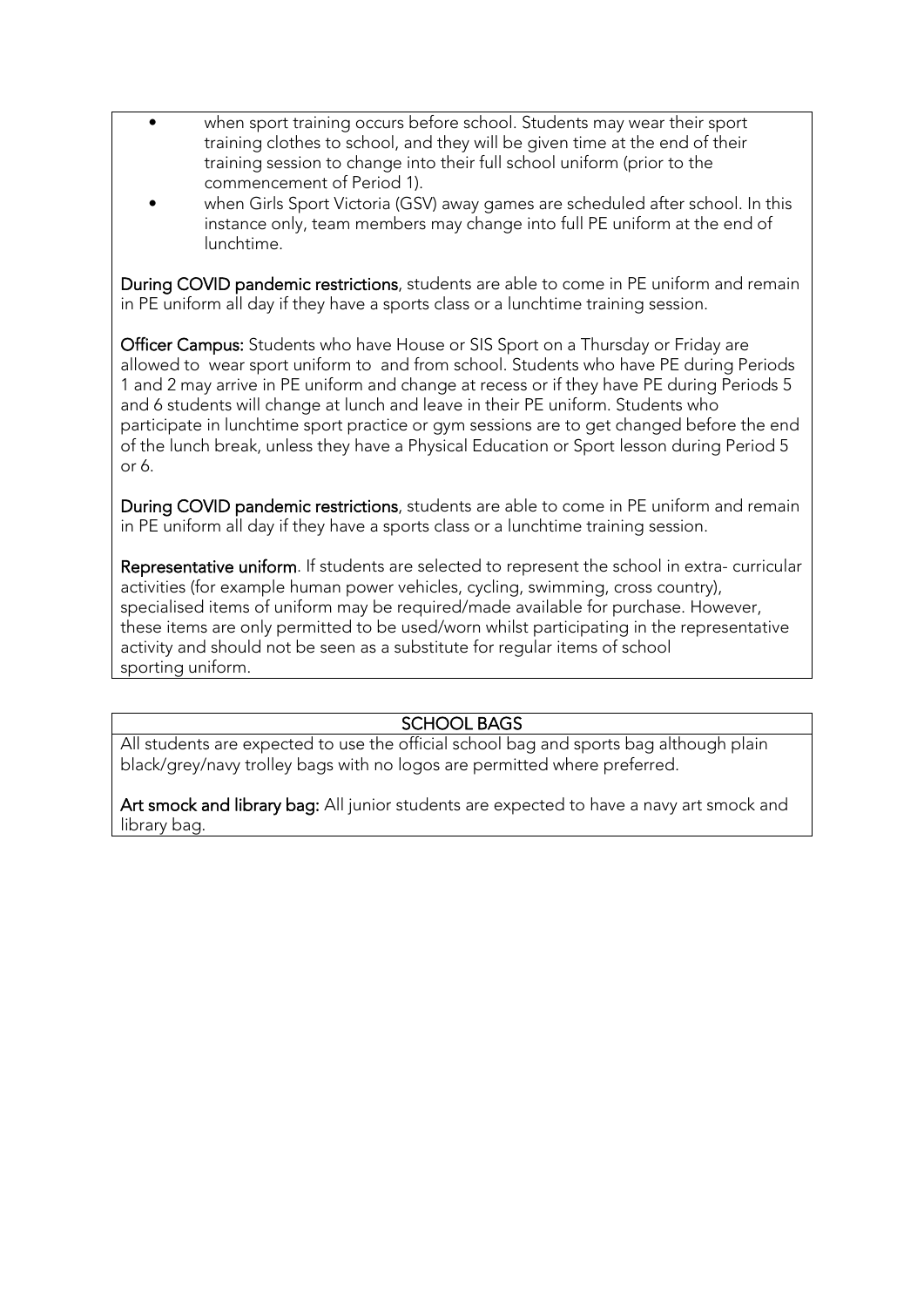- when sport training occurs before school. Students may wear their sport training clothes to school, and they will be given time at the end of their training session to change into their full school uniform (prior to the commencement of Period 1).
- when Girls Sport Victoria (GSV) away games are scheduled after school. In this instance only, team members may change into full PE uniform at the end of lunchtime.

During COVID pandemic restrictions, students are able to come in PE uniform and remain in PE uniform all day if they have a sports class or a lunchtime training session.

Officer Campus: Students who have House or SIS Sport on a Thursday or Friday are allowed to wear sport uniform to and from school. Students who have PE during Periods 1 and 2 may arrive in PE uniform and change at recess or if they have PE during Periods 5 and 6 students will change at lunch and leave in their PE uniform. Students who participate in lunchtime sport practice or gym sessions are to get changed before the end of the lunch break, unless they have a Physical Education or Sport lesson during Period 5 or 6.

During COVID pandemic restrictions, students are able to come in PE uniform and remain in PE uniform all day if they have a sports class or a lunchtime training session.

Representative uniform. If students are selected to represent the school in extra- curricular activities (for example human power vehicles, cycling, swimming, cross country), specialised items of uniform may be required/made available for purchase. However, these items are only permitted to be used/worn whilst participating in the representative activity and should not be seen as a substitute for regular items of school sporting uniform.

#### SCHOOL BAGS

All students are expected to use the official school bag and sports bag although plain black/grey/navy trolley bags with no logos are permitted where preferred.

Art smock and library bag: All junior students are expected to have a navy art smock and library bag.